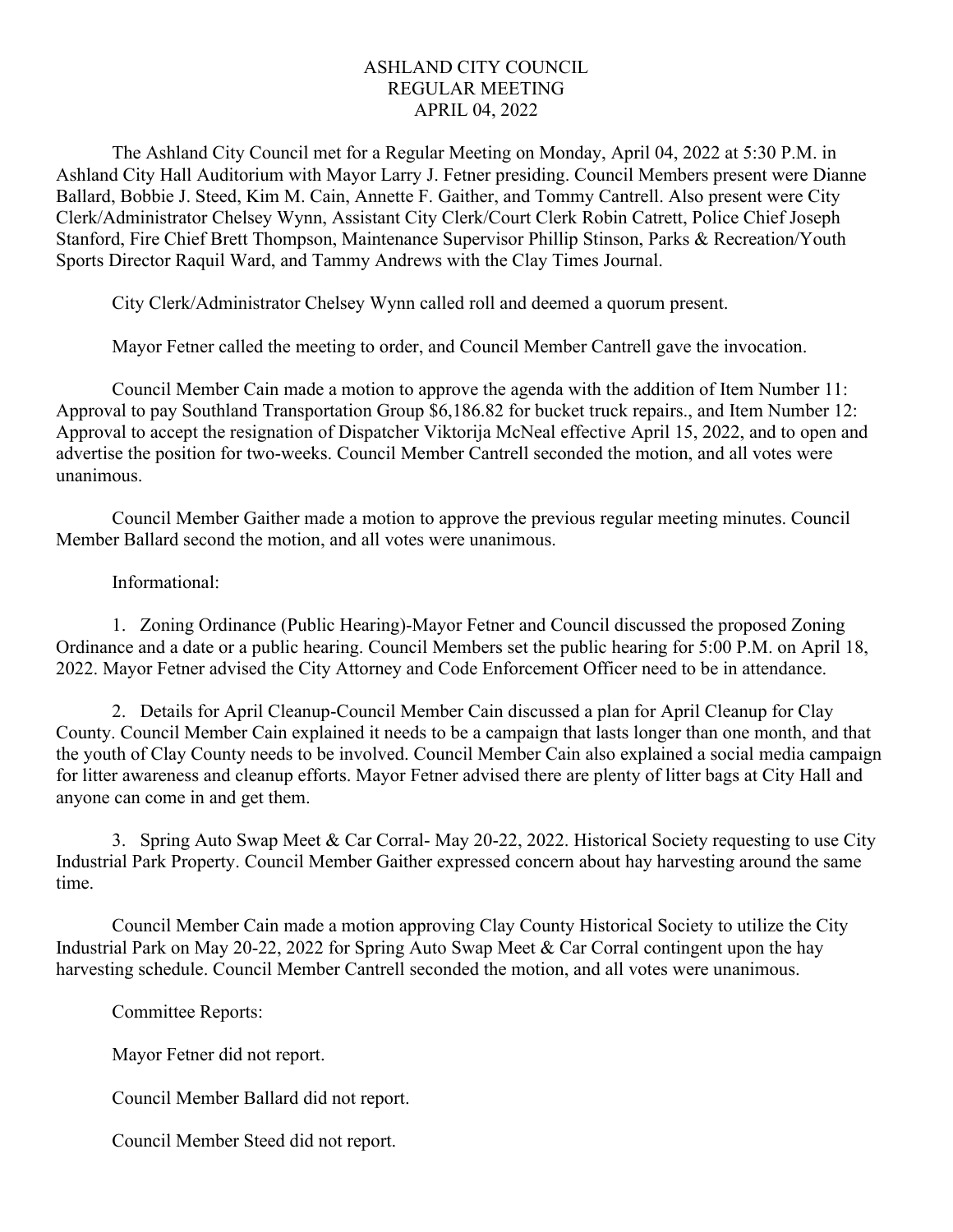## ASHLAND CITY COUNCIL REGULAR MEETING APRIL 04, 2022

The Ashland City Council met for a Regular Meeting on Monday, April 04, 2022 at 5:30 P.M. in Ashland City Hall Auditorium with Mayor Larry J. Fetner presiding. Council Members present were Dianne Ballard, Bobbie J. Steed, Kim M. Cain, Annette F. Gaither, and Tommy Cantrell. Also present were City Clerk/Administrator Chelsey Wynn, Assistant City Clerk/Court Clerk Robin Catrett, Police Chief Joseph Stanford, Fire Chief Brett Thompson, Maintenance Supervisor Phillip Stinson, Parks & Recreation/Youth Sports Director Raquil Ward, and Tammy Andrews with the Clay Times Journal.

City Clerk/Administrator Chelsey Wynn called roll and deemed a quorum present.

Mayor Fetner called the meeting to order, and Council Member Cantrell gave the invocation.

Council Member Cain made a motion to approve the agenda with the addition of Item Number 11: Approval to pay Southland Transportation Group \$6,186.82 for bucket truck repairs., and Item Number 12: Approval to accept the resignation of Dispatcher Viktorija McNeal effective April 15, 2022, and to open and advertise the position for two-weeks. Council Member Cantrell seconded the motion, and all votes were unanimous.

Council Member Gaither made a motion to approve the previous regular meeting minutes. Council Member Ballard second the motion, and all votes were unanimous.

## Informational:

1. Zoning Ordinance (Public Hearing)-Mayor Fetner and Council discussed the proposed Zoning Ordinance and a date or a public hearing. Council Members set the public hearing for 5:00 P.M. on April 18, 2022. Mayor Fetner advised the City Attorney and Code Enforcement Officer need to be in attendance.

2. Details for April Cleanup-Council Member Cain discussed a plan for April Cleanup for Clay County. Council Member Cain explained it needs to be a campaign that lasts longer than one month, and that the youth of Clay County needs to be involved. Council Member Cain also explained a social media campaign for litter awareness and cleanup efforts. Mayor Fetner advised there are plenty of litter bags at City Hall and anyone can come in and get them.

3. Spring Auto Swap Meet & Car Corral- May 20-22, 2022. Historical Society requesting to use City Industrial Park Property. Council Member Gaither expressed concern about hay harvesting around the same time.

Council Member Cain made a motion approving Clay County Historical Society to utilize the City Industrial Park on May 20-22, 2022 for Spring Auto Swap Meet & Car Corral contingent upon the hay harvesting schedule. Council Member Cantrell seconded the motion, and all votes were unanimous.

Committee Reports:

Mayor Fetner did not report.

Council Member Ballard did not report.

Council Member Steed did not report.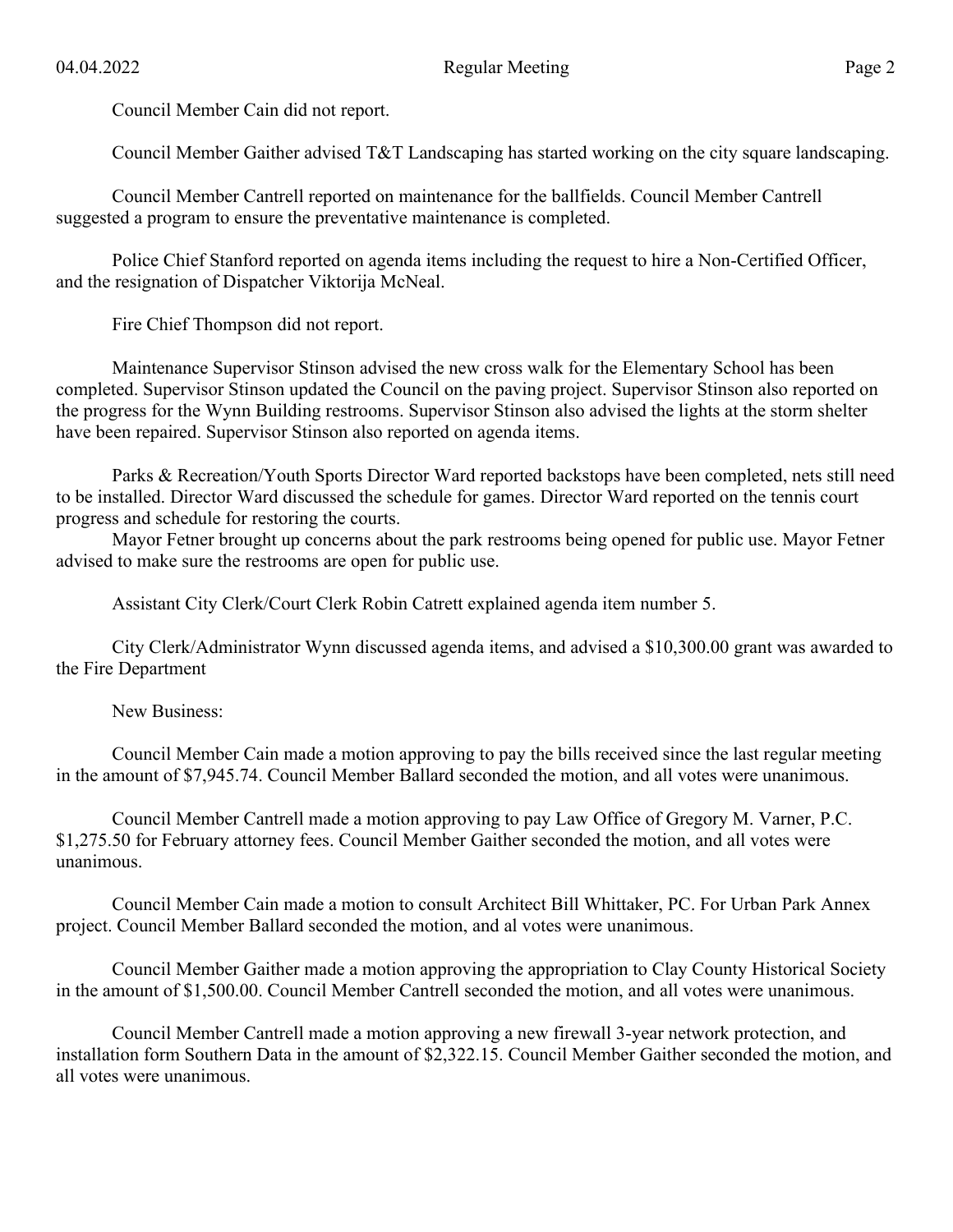Council Member Cain did not report.

Council Member Gaither advised T&T Landscaping has started working on the city square landscaping.

Council Member Cantrell reported on maintenance for the ballfields. Council Member Cantrell suggested a program to ensure the preventative maintenance is completed.

Police Chief Stanford reported on agenda items including the request to hire a Non-Certified Officer, and the resignation of Dispatcher Viktorija McNeal.

Fire Chief Thompson did not report.

Maintenance Supervisor Stinson advised the new cross walk for the Elementary School has been completed. Supervisor Stinson updated the Council on the paving project. Supervisor Stinson also reported on the progress for the Wynn Building restrooms. Supervisor Stinson also advised the lights at the storm shelter have been repaired. Supervisor Stinson also reported on agenda items.

Parks & Recreation/Youth Sports Director Ward reported backstops have been completed, nets still need to be installed. Director Ward discussed the schedule for games. Director Ward reported on the tennis court progress and schedule for restoring the courts.

Mayor Fetner brought up concerns about the park restrooms being opened for public use. Mayor Fetner advised to make sure the restrooms are open for public use.

Assistant City Clerk/Court Clerk Robin Catrett explained agenda item number 5.

City Clerk/Administrator Wynn discussed agenda items, and advised a \$10,300.00 grant was awarded to the Fire Department

New Business:

Council Member Cain made a motion approving to pay the bills received since the last regular meeting in the amount of \$7,945.74. Council Member Ballard seconded the motion, and all votes were unanimous.

Council Member Cantrell made a motion approving to pay Law Office of Gregory M. Varner, P.C. \$1,275.50 for February attorney fees. Council Member Gaither seconded the motion, and all votes were unanimous.

Council Member Cain made a motion to consult Architect Bill Whittaker, PC. For Urban Park Annex project. Council Member Ballard seconded the motion, and al votes were unanimous.

Council Member Gaither made a motion approving the appropriation to Clay County Historical Society in the amount of \$1,500.00. Council Member Cantrell seconded the motion, and all votes were unanimous.

Council Member Cantrell made a motion approving a new firewall 3-year network protection, and installation form Southern Data in the amount of \$2,322.15. Council Member Gaither seconded the motion, and all votes were unanimous.